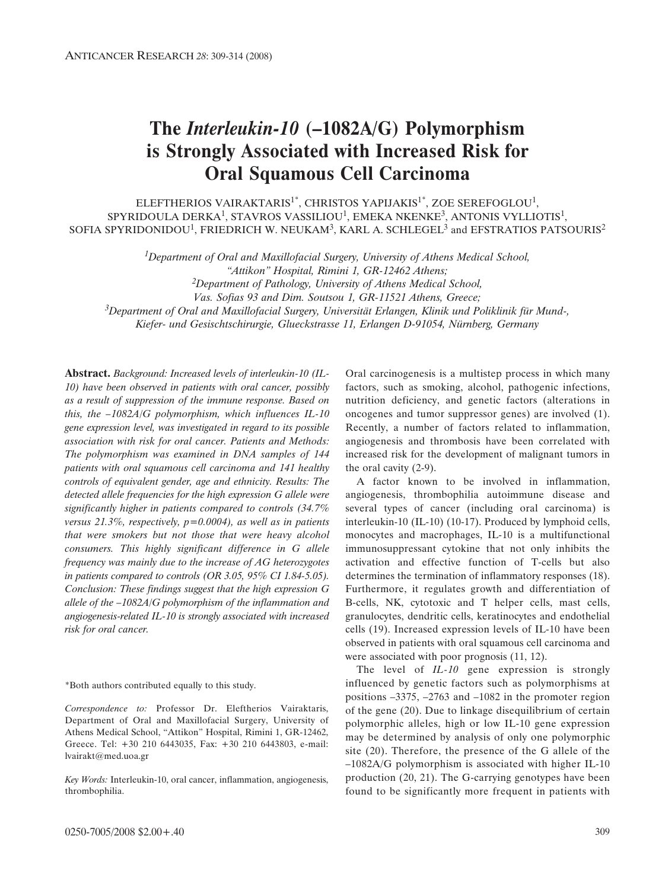# **The** *Interleukin-10* **(–1082A/G) Polymorphism is Strongly Associated with Increased Risk for Oral Squamous Cell Carcinoma**

ELEFTHERIOS VAIRAKTARIS<sup>1\*</sup>, CHRISTOS YAPIJAKIS<sup>1\*</sup>, ZOE SEREFOGLOU<sup>1</sup>, SPYRIDOULA DERKA<sup>1</sup>, STAVROS VASSILIOU<sup>1</sup>, EMEKA NKENKE<sup>3</sup>, ANTONIS VYLLIOTIS<sup>1</sup>, SOFIA SPYRIDONIDOU<sup>1</sup>, FRIEDRICH W. NEUKAM<sup>3</sup>, KARL A. SCHLEGEL<sup>3</sup> and EFSTRATIOS PATSOURIS<sup>2</sup>

*1Department of Oral and Maxillofacial Surgery, University of Athens Medical School,* 

*2Department of Pathology, University of Athens Medical School,* 

*Vas. Sofias 93 and Dim. Soutsou 1, GR-11521 Athens, Greece;*

*3Department of Oral and Maxillofacial Surgery, Universität Erlangen, Klinik und Poliklinik für Mund-, Kiefer- und Gesischtschirurgie, Glueckstrasse 11, Erlangen D-91054, Nürnberg, Germany* 

**Abstract.** *Background: Increased levels of interleukin-10 (IL-10) have been observed in patients with oral cancer, possibly as a result of suppression of the immune response. Based on this, the –1082A/G polymorphism, which influences IL-10 gene expression level, was investigated in regard to its possible association with risk for oral cancer. Patients and Methods: The polymorphism was examined in DNA samples of 144 patients with oral squamous cell carcinoma and 141 healthy controls of equivalent gender, age and ethnicity. Results: The detected allele frequencies for the high expression G allele were significantly higher in patients compared to controls (34.7% versus 21.3%, respectively, p=0.0004), as well as in patients that were smokers but not those that were heavy alcohol consumers. This highly significant difference in G allele frequency was mainly due to the increase of AG heterozygotes in patients compared to controls (OR 3.05, 95% CI 1.84-5.05). Conclusion: These findings suggest that the high expression G allele of the –1082A/G polymorphism of the inflammation and angiogenesis-related IL-10 is strongly associated with increased risk for oral cancer.*

\*Both authors contributed equally to this study.

*Correspondence to:* Professor Dr. Eleftherios Vairaktaris, Department of Oral and Maxillofacial Surgery, University of Athens Medical School, "Attikon" Hospital, Rimini 1, GR-12462, Greece. Tel: +30 210 6443035, Fax: +30 210 6443803, e-mail: lvairakt@med.uoa.gr

*Key Words:* Interleukin-10, oral cancer, inflammation, angiogenesis, thrombophilia.

Oral carcinogenesis is a multistep process in which many factors, such as smoking, alcohol, pathogenic infections, nutrition deficiency, and genetic factors (alterations in oncogenes and tumor suppressor genes) are involved (1). Recently, a number of factors related to inflammation, angiogenesis and thrombosis have been correlated with increased risk for the development of malignant tumors in the oral cavity (2-9).

A factor known to be involved in inflammation, angiogenesis, thrombophilia autoimmune disease and several types of cancer (including oral carcinoma) is interleukin-10 (IL-10) (10-17). Produced by lymphoid cells, monocytes and macrophages, IL-10 is a multifunctional immunosuppressant cytokine that not only inhibits the activation and effective function of T-cells but also determines the termination of inflammatory responses (18). Furthermore, it regulates growth and differentiation of B-cells, NK, cytotoxic and T helper cells, mast cells, granulocytes, dendritic cells, keratinocytes and endothelial cells (19). Increased expression levels of IL-10 have been observed in patients with oral squamous cell carcinoma and were associated with poor prognosis (11, 12).

The level of *IL-10* gene expression is strongly influenced by genetic factors such as polymorphisms at positions –3375, –2763 and –1082 in the promoter region of the gene (20). Due to linkage disequilibrium of certain polymorphic alleles, high or low IL-10 gene expression may be determined by analysis of only one polymorphic site (20). Therefore, the presence of the G allele of the –1082A/G polymorphism is associated with higher IL-10 production (20, 21). The G-carrying genotypes have been found to be significantly more frequent in patients with

*<sup>&</sup>quot;Attikon" Hospital, Rimini 1, GR-12462 Athens;*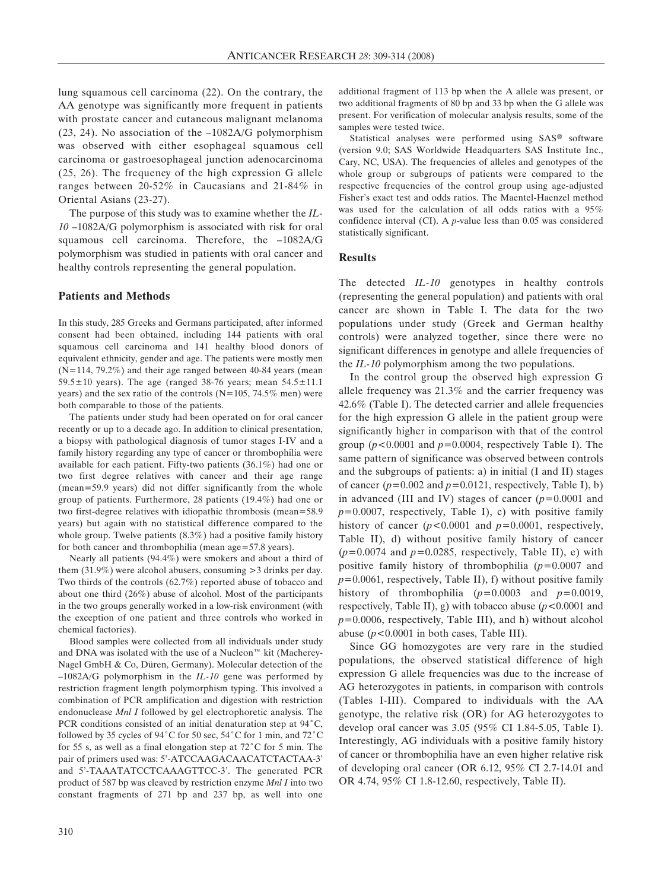lung squamous cell carcinoma (22). On the contrary, the AA genotype was significantly more frequent in patients with prostate cancer and cutaneous malignant melanoma (23, 24). No association of the –1082A/G polymorphism was observed with either esophageal squamous cell carcinoma or gastroesophageal junction adenocarcinoma (25, 26). The frequency of the high expression G allele ranges between 20-52% in Caucasians and 21-84% in Oriental Asians (23-27).

The purpose of this study was to examine whether the *IL*-*10* –1082A/G polymorphism is associated with risk for oral squamous cell carcinoma. Therefore, the –1082A/G polymorphism was studied in patients with oral cancer and healthy controls representing the general population.

#### **Patients and Methods**

In this study, 285 Greeks and Germans participated, after informed consent had been obtained, including 144 patients with oral squamous cell carcinoma and 141 healthy blood donors of equivalent ethnicity, gender and age. The patients were mostly men (N=114, 79.2%) and their age ranged between 40-84 years (mean 59.5 $\pm$ 10 years). The age (ranged 38-76 years; mean 54.5 $\pm$ 11.1 years) and the sex ratio of the controls ( $N=105$ , 74.5% men) were both comparable to those of the patients.

The patients under study had been operated on for oral cancer recently or up to a decade ago. In addition to clinical presentation, a biopsy with pathological diagnosis of tumor stages I-IV and a family history regarding any type of cancer or thrombophilia were available for each patient. Fifty-two patients (36.1%) had one or two first degree relatives with cancer and their age range (mean=59.9 years) did not differ significantly from the whole group of patients. Furthermore, 28 patients (19.4%) had one or two first-degree relatives with idiopathic thrombosis (mean=58.9 years) but again with no statistical difference compared to the whole group. Twelve patients (8.3%) had a positive family history for both cancer and thrombophilia (mean age=57.8 years).

Nearly all patients (94.4%) were smokers and about a third of them (31.9%) were alcohol abusers, consuming >3 drinks per day. Two thirds of the controls (62.7%) reported abuse of tobacco and about one third (26%) abuse of alcohol. Most of the participants in the two groups generally worked in a low-risk environment (with the exception of one patient and three controls who worked in chemical factories).

Blood samples were collected from all individuals under study and DNA was isolated with the use of a Nucleon<sup> $m$ </sup> kit (Macherey-Nagel GmbH & Co, Düren, Germany). Molecular detection of the –1082A/G polymorphism in the *IL-10* gene was performed by restriction fragment length polymorphism typing. This involved a combination of PCR amplification and digestion with restriction endonuclease *Mnl I* followed by gel electrophoretic analysis. The PCR conditions consisted of an initial denaturation step at  $94^{\circ}$ C, followed by 35 cycles of 94 $^{\circ}$ C for 50 sec, 54 $^{\circ}$ C for 1 min, and 72 $^{\circ}$ C for 55 s, as well as a final elongation step at  $72^{\circ}$ C for 5 min. The pair of primers used was: 5'-ATCCAAGACAACATCTACTAA-3' and 5'-TAAATATCCTCAAAGTTCC-3'. The generated PCR product of 587 bp was cleaved by restriction enzyme *Mnl I* into two constant fragments of 271 bp and 237 bp, as well into one

additional fragment of 113 bp when the A allele was present, or two additional fragments of 80 bp and 33 bp when the G allele was present. For verification of molecular analysis results, some of the samples were tested twice.

Statistical analyses were performed using SAS® software (version 9.0; SAS Worldwide Headquarters SAS Institute Inc., Cary, NC, USA). The frequencies of alleles and genotypes of the whole group or subgroups of patients were compared to the respective frequencies of the control group using age-adjusted Fisher's exact test and odds ratios. The Maentel-Haenzel method was used for the calculation of all odds ratios with a 95% confidence interval (CI). A *p*-value less than 0.05 was considered statistically significant.

# **Results**

The detected *IL-10* genotypes in healthy controls (representing the general population) and patients with oral cancer are shown in Table I. The data for the two populations under study (Greek and German healthy controls) were analyzed together, since there were no significant differences in genotype and allele frequencies of the *IL-10* polymorphism among the two populations.

In the control group the observed high expression G allele frequency was 21.3% and the carrier frequency was 42.6% (Table I). The detected carrier and allele frequencies for the high expression G allele in the patient group were significantly higher in comparison with that of the control group (*p<*0.0001 and *p=*0.0004, respectively Table I). The same pattern of significance was observed between controls and the subgroups of patients: a) in initial (I and II) stages of cancer (*p=*0.002 and *p=*0.0121, respectively, Table I), b) in advanced (III and IV) stages of cancer (*p=*0.0001 and *p=*0.0007, respectively, Table I), c) with positive family history of cancer (*p<*0.0001 and *p=*0.0001, respectively, Table II), d) without positive family history of cancer (*p=*0.0074 and *p=*0.0285, respectively, Table II), e) with positive family history of thrombophilia (*p=*0.0007 and *p=*0.0061, respectively, Table II), f) without positive family history of thrombophilia (*p=*0.0003 and *p=*0.0019, respectively, Table II), g) with tobacco abuse (*p<*0.0001 and *p=*0.0006, respectively, Table III), and h) without alcohol abuse (*p<*0.0001 in both cases, Table III).

Since GG homozygotes are very rare in the studied populations, the observed statistical difference of high expression G allele frequencies was due to the increase of AG heterozygotes in patients, in comparison with controls (Tables I-III). Compared to individuals with the AA genotype, the relative risk (OR) for AG heterozygotes to develop oral cancer was 3.05 (95% CI 1.84-5.05, Table I). Interestingly, AG individuals with a positive family history of cancer or thrombophilia have an even higher relative risk of developing oral cancer (OR 6.12, 95% CI 2.7-14.01 and OR 4.74, 95% CI 1.8-12.60, respectively, Table II).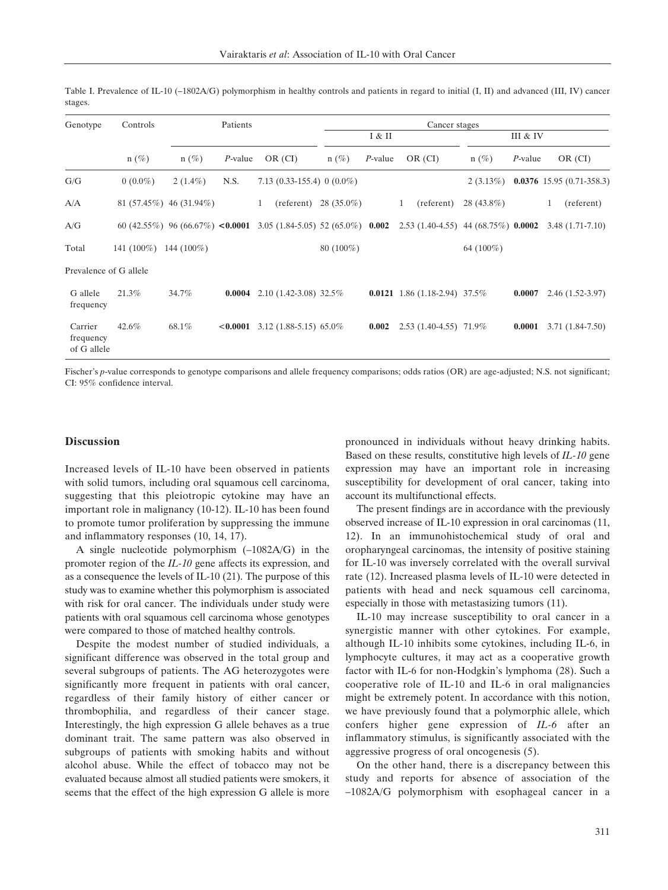| Genotype                            | Controls                |                           | Patients     |                                                                   |             |            | Cancer stages                               |              |            |                             |
|-------------------------------------|-------------------------|---------------------------|--------------|-------------------------------------------------------------------|-------------|------------|---------------------------------------------|--------------|------------|-----------------------------|
|                                     |                         |                           |              |                                                                   |             | I & II     |                                             |              | III & IV   |                             |
|                                     | $n(\%)$                 | $n(\%)$                   | $P$ -value   | OR (CI)                                                           | $n(\%)$     | $P$ -value | OR (CI)                                     | $n(\%)$      | $P$ -value | OR (CI)                     |
| G/G                                 | $0(0.0\%)$              | $2(1.4\%)$                | N.S.         | 7.13 $(0.33-155.4)$ 0 $(0.0\%)$                                   |             |            |                                             | $2(3.13\%)$  |            | $0.0376$ 15.95 (0.71-358.3) |
| A/A                                 |                         | $81(57.45\%)$ 46 (31.94%) |              | $(referent)$ 28 (35.0%)<br>1                                      |             |            | (referent)<br>1                             | $28(43.8\%)$ |            | (referent)<br>1             |
| A/G                                 |                         |                           |              | 60 (42.55%) 96 (66.67%) <0.0001 3.05 (1.84-5.05) 52 (65.0%) 0.002 |             |            | $2.53(1.40-4.55)$ 44 (68.75%) <b>0.0002</b> |              |            | $3.48(1.71-7.10)$           |
| Total                               | $141(100\%)$ 144 (100%) |                           |              |                                                                   | $80(100\%)$ |            |                                             | 64 $(100\%)$ |            |                             |
| Prevalence of G allele              |                         |                           |              |                                                                   |             |            |                                             |              |            |                             |
| G allele<br>frequency               | 21.3%                   | 34.7%                     | 0.0004       | $2.10(1.42-3.08)32.5\%$                                           |             |            | <b>0.0121</b> 1.86 (1.18-2.94) 37.5%        |              | 0.0007     | $2.46(1.52-3.97)$           |
| Carrier<br>frequency<br>of G allele | 42.6%                   | 68.1%                     | $<$ $0.0001$ | $3.12(1.88-5.15)$ 65.0%                                           |             | 0.002      | $2.53(1.40-4.55)$ 71.9%                     |              | 0.0001     | $3.71(1.84-7.50)$           |

Table I. Prevalence of IL-10 (–1802A/G) polymorphism in healthy controls and patients in regard to initial (I, II) and advanced (III, IV) cancer stages.

Fischer's *p*-value corresponds to genotype comparisons and allele frequency comparisons; odds ratios (OR) are age-adjusted; N.S. not significant; CI: 95% confidence interval.

### **Discussion**

Increased levels of IL-10 have been observed in patients with solid tumors, including oral squamous cell carcinoma, suggesting that this pleiotropic cytokine may have an important role in malignancy (10-12). IL-10 has been found to promote tumor proliferation by suppressing the immune and inflammatory responses (10, 14, 17).

A single nucleotide polymorphism (–1082A/G) in the promoter region of the *IL-10* gene affects its expression, and as a consequence the levels of IL-10 (21). The purpose of this study was to examine whether this polymorphism is associated with risk for oral cancer. The individuals under study were patients with oral squamous cell carcinoma whose genotypes were compared to those of matched healthy controls.

Despite the modest number of studied individuals, a significant difference was observed in the total group and several subgroups of patients. The AG heterozygotes were significantly more frequent in patients with oral cancer, regardless of their family history of either cancer or thrombophilia, and regardless of their cancer stage. Interestingly, the high expression G allele behaves as a true dominant trait. The same pattern was also observed in subgroups of patients with smoking habits and without alcohol abuse. While the effect of tobacco may not be evaluated because almost all studied patients were smokers, it seems that the effect of the high expression G allele is more

pronounced in individuals without heavy drinking habits. Based on these results, constitutive high levels of *IL-10* gene expression may have an important role in increasing susceptibility for development of oral cancer, taking into account its multifunctional effects.

The present findings are in accordance with the previously observed increase of IL-10 expression in oral carcinomas (11, 12). In an immunohistochemical study of oral and oropharyngeal carcinomas, the intensity of positive staining for IL-10 was inversely correlated with the overall survival rate (12). Increased plasma levels of IL-10 were detected in patients with head and neck squamous cell carcinoma, especially in those with metastasizing tumors (11).

IL-10 may increase susceptibility to oral cancer in a synergistic manner with other cytokines. For example, although IL-10 inhibits some cytokines, including IL-6, in lymphocyte cultures, it may act as a cooperative growth factor with IL-6 for non-Hodgkin's lymphoma (28). Such a cooperative role of IL-10 and IL-6 in oral malignancies might be extremely potent. In accordance with this notion, we have previously found that a polymorphic allele, which confers higher gene expression of *IL-6* after an inflammatory stimulus, is significantly associated with the aggressive progress of oral oncogenesis (5).

On the other hand, there is a discrepancy between this study and reports for absence of association of the –1082A/G polymorphism with esophageal cancer in a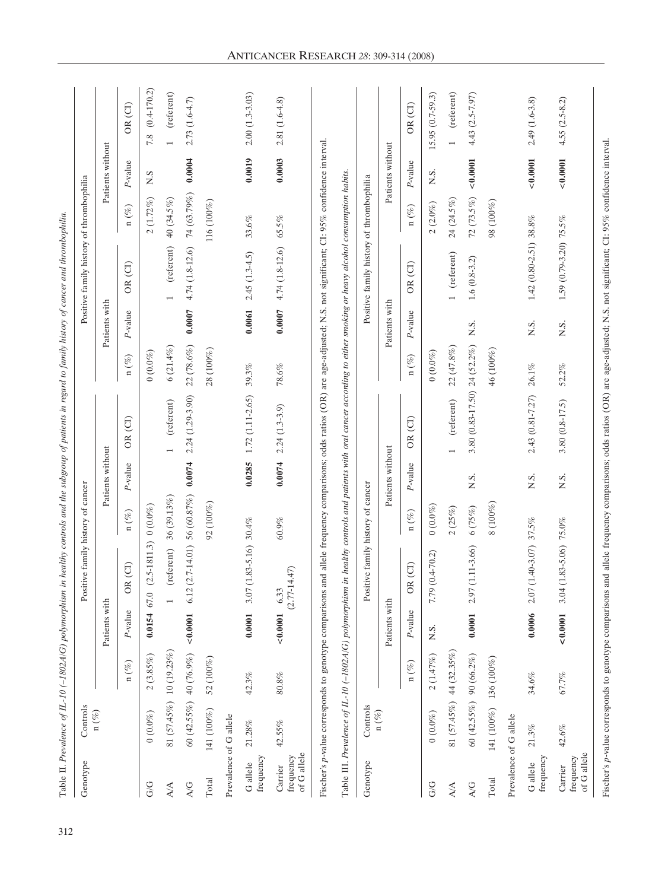| Genotype                            | Controls                |             |                | Positive family history of cancer |                                  |                  |                              |            |               | Positive family history of thrombophilia |              |                  |                         |
|-------------------------------------|-------------------------|-------------|----------------|-----------------------------------|----------------------------------|------------------|------------------------------|------------|---------------|------------------------------------------|--------------|------------------|-------------------------|
|                                     | n (%)                   |             | Patients with  |                                   |                                  | Patients without |                              |            | Patients with |                                          |              | Patients without |                         |
|                                     |                         | n $(\%)$    | P-value        | R(CI)<br>$\circ$                  | n $(\%)$                         | P-value          | OR(CI)                       | n $(\%)$   | P-value       | OR(CI)                                   | n $(\%)$     | $P$ -value       | OR <sub>(CI)</sub>      |
| G/G                                 | $(0.0\%)$               | 2(3.85%)    | $0.0154$ 67.0  | $(2.5-1811.3)$ 0 $(0.0\%)$        |                                  |                  |                              | $(0.0\%)$  |               |                                          | 2(1.72%)     | N.S              | $7.8 \quad (0.4-170.2)$ |
| $\Delta/\Delta$                     | 81 (57.45%) 10 (19.23%) |             |                | (referent)                        | 36(39.13%)                       |                  | (referent)<br>$\overline{ }$ | 6(21.4%)   |               | (referent)                               | 40 (34.5%)   |                  | (referent)              |
| A/G                                 | $60(42.55%)$ 40 (76.9%) |             | < 0.0001       | 6.12                              | $(2.7-14.01)$ 56 (60.87%) 0.0074 |                  | 2.24 (1.29-3.90)             | 22 (78.6%) | 0.0007        | 4.74 (1.8-12.6)                          | 74 (63.79%)  | 0.0004           | $2.73(1.6-4.7)$         |
| Total                               | 141 (100%)              | $52(100\%)$ |                |                                   | $92(100\%)$                      |                  |                              | 28 (100%)  |               |                                          | 116(100%)    |                  |                         |
| Prevalence of G allele              |                         |             |                |                                   |                                  |                  |                              |            |               |                                          |              |                  |                         |
| frequency<br>G allele               | $21.28\%$               | 42.3%       | 0.0001         | $(1.83 - 5.16)$ 30.4%<br>$3.07$   |                                  | 0.0285           | 1.72 (1.11-2.65)             | $39.3\%$   | 0.0061        | $2.45(1.3-4.5)$                          | $33.6\%$     | 0.0019           | $2.00(1.3-3.03)$        |
| of G allele<br>frequency<br>Carrier | 42.55%                  | $80.8\%$    | < 0.0001       | $(2.77 - 14.47)$<br>6.33          | $60.9\%$                         | 0.0074           | $2.24(1.3-3.9)$              | $78.6\%$   | 0.0007        | 4.74 (1.8-12.6)                          | 65.5%        | 0.0003           | 2.81 (1.6-4.8)          |
| Genotype                            | Controls                |             |                | Positive family history of cancer |                                  |                  |                              |            |               | Positive family history of thrombophilia |              |                  |                         |
|                                     | n $(\%)$                |             | Patients with  |                                   |                                  | Patients without |                              |            | Patients with |                                          |              | Patients without |                         |
|                                     |                         | n $(\%)$    | P-value        | R(CI)<br>$\circ$                  | n $(\%)$                         | P-value          | OR(CI)                       | n $(\%)$   | $P$ -value    | OR(CI)                                   | n $(\%)$     | $P$ -value       | OR <sub>(CI)</sub>      |
| G/G                                 | $(0.0\%)$               | 2(1.47%)    | N.S.           | $(0.4 - 70.2)$<br>7.79            | $(0.0\%)$                        |                  |                              | $(0.0\%)$  |               |                                          | $2\ (2.0\%)$ | N.S.             | $15.95(0.7-59.3)$       |
| $\Delta/\Delta$                     | 81 (57.45%) 44 (32.35%) |             |                |                                   | 2(25%)                           |                  | (referent)<br>$\overline{ }$ | 22 (47.8%) |               | (referent)                               | 24 (24.5%)   |                  | (referent)              |
| A/G                                 | 60 (42.55%) 90 (66.2%)  |             | 0.0001         | $(1.11 - 3.66)$<br>2.97           | 6(75%)                           | N.S.             | 3.80 (0.83-17.50) 24 (52.2%) |            | N.S.          | $1.6(0.8-3.2)$                           | $72(73.5\%)$ | ${}_{<0.0001}$   | $4.43(2.5 - 7.97)$      |
| Total                               | 141 (100%) 136 (100%)   |             |                |                                   | $8(100\%)$                       |                  |                              | 46 (100%)  |               |                                          | 98 (100%)    |                  |                         |
| Prevalence of G allele              |                         |             |                |                                   |                                  |                  |                              |            |               |                                          |              |                  |                         |
| frequency<br>G allele               | $21.3\%$                | 34.6%       | 0.0006         | $(1.40 - 3.07)$ 37.5%<br>2.07     |                                  | N.S.             | 2.43 (0.81-7.27)             | $26.1\%$   | ΧŚ.           | 1.42 (0.80-2.51) 38.8%                   |              | ${}_{0.0001}$    | $2.49(1.6-3.8)$         |
| of G allele<br>frequency<br>Carrier | $42.6\%$                | 67.7%       | ${}_{<0.0001}$ | $(1.83 - 5.06)$ 75.0%<br>3.04     |                                  | N.S.             | $3.80(0.8 - 17.5)$           | 52.2%      | N.S.          | 1.59 (0.79-3.20) 75.5%                   |              | 0.0001           | $4.55(2.5-8.2)$         |

ANTICANCER RESEARCH *28*: 309-314 (2008)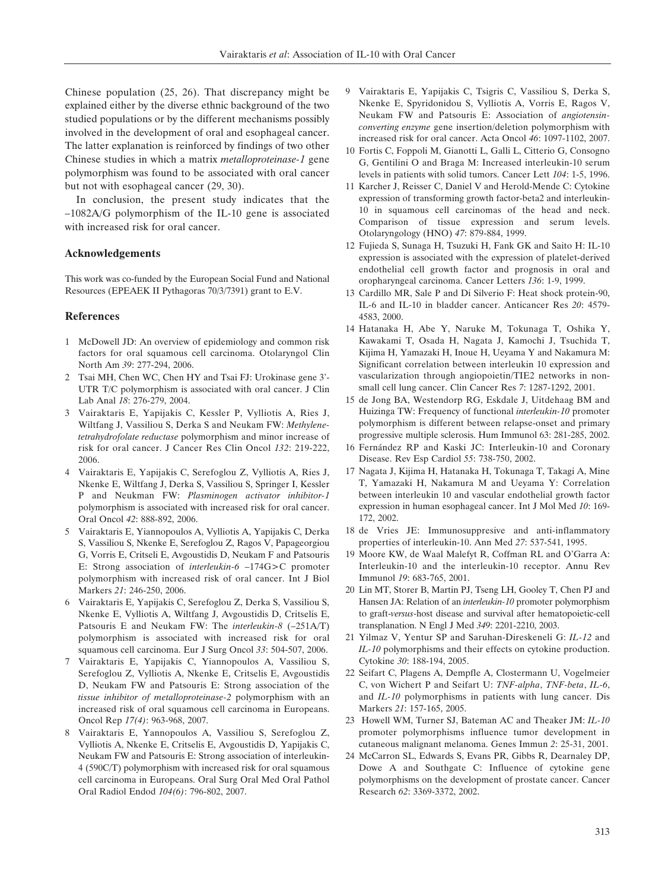Chinese population (25, 26). That discrepancy might be explained either by the diverse ethnic background of the two studied populations or by the different mechanisms possibly involved in the development of oral and esophageal cancer. The latter explanation is reinforced by findings of two other Chinese studies in which a matrix *metalloproteinase-1* gene polymorphism was found to be associated with oral cancer but not with esophageal cancer (29, 30).

In conclusion, the present study indicates that the –1082A/G polymorphism of the IL-10 gene is associated with increased risk for oral cancer.

## **Acknowledgements**

This work was co-funded by the European Social Fund and National Resources (EPEAEK II Pythagoras 70/3/7391) grant to E.V.

# **References**

- 1 McDowell JD: An overview of epidemiology and common risk factors for oral squamous cell carcinoma. Otolaryngol Clin North Am *39*: 277-294, 2006.
- 2 Tsai MH, Chen WC, Chen HY and Tsai FJ: Urokinase gene 3'- UTR T/C polymorphism is associated with oral cancer. J Clin Lab Anal *18*: 276-279, 2004.
- 3 Vairaktaris E, Yapijakis C, Kessler P, Vylliotis A, Ries J, Wiltfang J, Vassiliou S, Derka S and Neukam FW: *Methylenetetrahydrofolate reductase* polymorphism and minor increase of risk for oral cancer. J Cancer Res Clin Oncol *132*: 219-222, 2006.
- 4 Vairaktaris E, Yapijakis C, Serefoglou Z, Vylliotis A, Ries J, Nkenke E, Wiltfang J, Derka S, Vassiliou S, Springer I, Kessler P and Neukman FW: *Plasminogen activator inhibitor-1* polymorphism is associated with increased risk for oral cancer. Oral Oncol *42*: 888-892, 2006.
- 5 Vairaktaris E, Yiannopoulos A, Vylliotis A, Yapijakis C, Derka S, Vassiliou S, Nkenke E, Serefoglou Z, Ragos V, Papageorgiou G, Vorris E, Critseli E, Avgoustidis D, Neukam F and Patsouris E: Strong association of *interleukin-6* –174G>C promoter polymorphism with increased risk of oral cancer. Int J Biol Markers *21*: 246-250, 2006.
- 6 Vairaktaris E, Yapijakis C, Serefoglou Z, Derka S, Vassiliou S, Nkenke E, Vylliotis A, Wiltfang J, Avgoustidis D, Critselis E, Patsouris E and Neukam FW: The *interleukin-8* (–251A/T) polymorphism is associated with increased risk for oral squamous cell carcinoma. Eur J Surg Oncol *33*: 504-507, 2006.
- 7 Vairaktaris E, Yapijakis C, Yiannopoulos A, Vassiliou S, Serefoglou Z, Vylliotis A, Nkenke E, Critselis E, Avgoustidis D, Neukam FW and Patsouris E: Strong association of the *tissue inhibitor of metalloproteinase-2* polymorphism with an increased risk of oral squamous cell carcinoma in Europeans. Oncol Rep *17(4)*: 963-968, 2007.
- 8 Vairaktaris E, Yannopoulos A, Vassiliou S, Serefoglou Z, Vylliotis A, Nkenke E, Critselis E, Avgoustidis D, Yapijakis C, Neukam FW and Patsouris E: Strong association of interleukin-4 (590C/T) polymorphism with increased risk for oral squamous cell carcinoma in Europeans. Oral Surg Oral Med Oral Pathol Oral Radiol Endod *104(6)*: 796-802, 2007.
- 9 Vairaktaris E, Yapijakis C, Tsigris C, Vassiliou S, Derka S, Nkenke E, Spyridonidou S, Vylliotis A, Vorris E, Ragos V, Neukam FW and Patsouris E: Association of *angiotensinconverting enzyme* gene insertion/deletion polymorphism with increased risk for oral cancer. Acta Oncol *46*: 1097-1102, 2007.
- 10 Fortis C, Foppoli M, Gianotti L, Galli L, Citterio G, Consogno G, Gentilini O and Braga M: Increased interleukin-10 serum levels in patients with solid tumors. Cancer Lett *104*: 1-5, 1996.
- 11 Karcher J, Reisser C, Daniel V and Herold-Mende C: Cytokine expression of transforming growth factor-beta2 and interleukin-10 in squamous cell carcinomas of the head and neck. Comparison of tissue expression and serum levels. Otolaryngology (HNO) *47*: 879-884, 1999.
- 12 Fujieda S, Sunaga H, Tsuzuki H, Fank GK and Saito H: IL-10 expression is associated with the expression of platelet-derived endothelial cell growth factor and prognosis in oral and oropharyngeal carcinoma. Cancer Letters *136*: 1-9, 1999.
- 13 Cardillo MR, Sale P and Di Silverio F: Heat shock protein-90, IL-6 and IL-10 in bladder cancer. Anticancer Res *20*: 4579- 4583, 2000.
- 14 Hatanaka H, Abe Y, Naruke M, Tokunaga T, Oshika Y, Kawakami T, Osada H, Nagata J, Kamochi J, Tsuchida T, Kijima H, Yamazaki H, Inoue H, Ueyama Y and Nakamura M: Significant correlation between interleukin 10 expression and vascularization through angiopoietin/TIE2 networks in nonsmall cell lung cancer. Clin Cancer Res *7*: 1287-1292, 2001.
- 15 de Jong BA, Westendorp RG, Eskdale J, Uitdehaag BM and Huizinga TW: Frequency of functional *interleukin-10* promoter polymorphism is different between relapse-onset and primary progressive multiple sclerosis. Hum Immunol 63: 281-285, 2002.
- 16 Fernández RP and Kaski JC: Interleukin-10 and Coronary Disease. Rev Esp Cardiol *55*: 738-750, 2002.
- 17 Nagata J, Kijima H, Hatanaka H, Tokunaga T, Takagi A, Mine T, Yamazaki H, Nakamura M and Ueyama Y: Correlation between interleukin 10 and vascular endothelial growth factor expression in human esophageal cancer. Int J Mol Med *10*: 169- 172, 2002.
- 18 de Vries JE: Immunosuppresive and anti-inflammatory properties of interleukin-10. Ann Med *27*: 537-541, 1995.
- 19 Moore KW, de Waal Malefyt R, Coffman RL and O'Garra A: Interleukin-10 and the interleukin-10 receptor. Annu Rev Immunol *19*: 683-765, 2001.
- 20 Lin MT, Storer B, Martin PJ, Tseng LH, Gooley T, Chen PJ and Hansen JA: Relation of an *interleukin-10* promoter polymorphism to graft-*versus*-host disease and survival after hematopoietic-cell transplanation. N Engl J Med *349*: 2201-2210, 2003.
- 21 Yilmaz V, Yentur SP and Saruhan-Direskeneli G: *IL-12* and *IL-10* polymorphisms and their effects on cytokine production. Cytokine *30*: 188-194, 2005.
- 22 Seifart C, Plagens A, Dempfle A, Clostermann U, Vogelmeier C, von Wichert P and Seifart U: *TNF-alpha*, *TNF-beta*, *IL-6*, and *IL-10* polymorphisms in patients with lung cancer. Dis Markers *21*: 157-165, 2005.
- 23 Howell WM, Turner SJ, Bateman AC and Theaker JM: *IL-10* promoter polymorphisms influence tumor development in cutaneous malignant melanoma. Genes Immun *2*: 25-31, 2001.
- 24 McCarron SL, Edwards S, Evans PR, Gibbs R, Dearnaley DP, Dowe A and Southgate C: Influence of cytokine gene polymorphisms on the development of prostate cancer. Cancer Research *62*: 3369-3372, 2002.